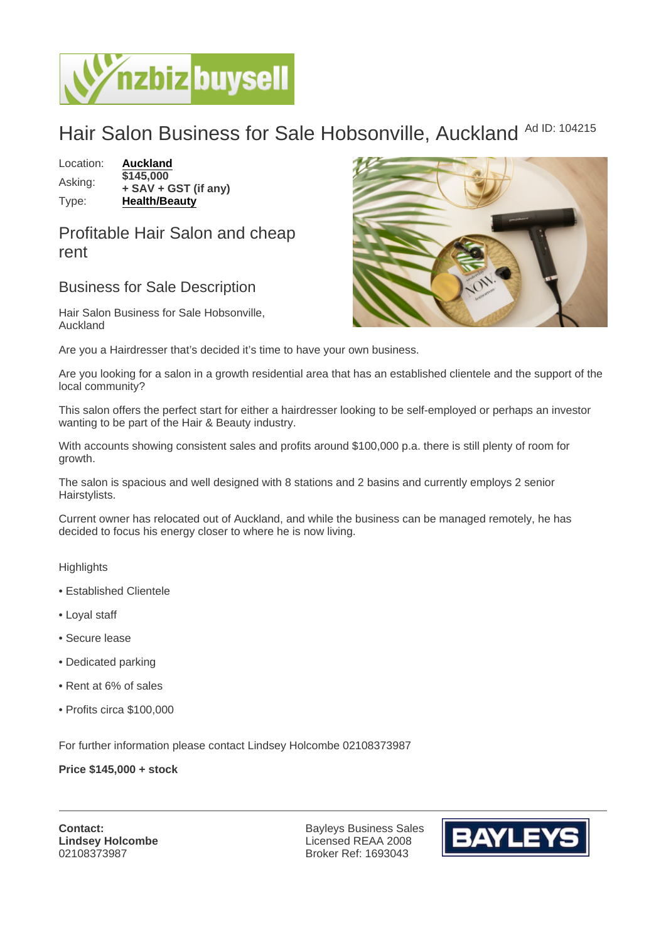## Hair Salon Business for Sale Hobsonville, Auckland Ad ID: 104215

Location: [Auckland](https://www.nzbizbuysell.co.nz/businesses-for-sale/location/Auckland) Asking: \$145,000 + SAV + GST (if any) Type: [Health/Beauty](https://www.nzbizbuysell.co.nz/businesses-for-sale/Health--Beauty/New-Zealand)

Profitable Hair Salon and cheap rent

## Business for Sale Description

Hair Salon Business for Sale Hobsonville, Auckland

Are you a Hairdresser that's decided it's time to have your own business.

Are you looking for a salon in a growth residential area that has an established clientele and the support of the local community?

This salon offers the perfect start for either a hairdresser looking to be self-employed or perhaps an investor wanting to be part of the Hair & Beauty industry.

With accounts showing consistent sales and profits around \$100,000 p.a. there is still plenty of room for growth.

The salon is spacious and well designed with 8 stations and 2 basins and currently employs 2 senior Hairstylists.

Current owner has relocated out of Auckland, and while the business can be managed remotely, he has decided to focus his energy closer to where he is now living.

**Highlights** 

- Established Clientele
- Loyal staff
- Secure lease
- Dedicated parking
- Rent at 6% of sales
- Profits circa \$100,000

For further information please contact Lindsey Holcombe 02108373987

Price \$145,000 + stock

Contact: Lindsey Holcombe 02108373987

Bayleys Business Sales Licensed REAA 2008 Broker Ref: 1693043